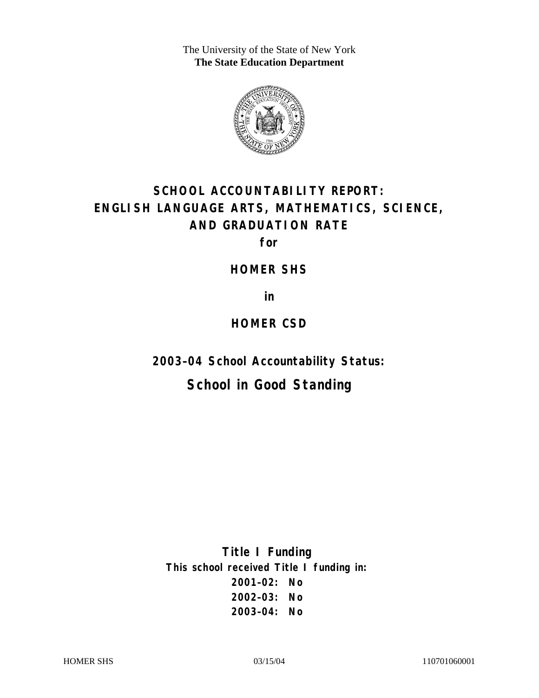The University of the State of New York **The State Education Department** 



# **SCHOOL ACCOUNTABILITY REPORT: ENGLISH LANGUAGE ARTS, MATHEMATICS, SCIENCE, AND GRADUATION RATE**

**for** 

**HOMER SHS** 

**in** 

## **HOMER CSD**

**2003–04 School Accountability Status:** 

## **School in Good Standing**

**Title I Funding This school received Title I funding in: 2001–02: No 2002–03: No 2003–04: No**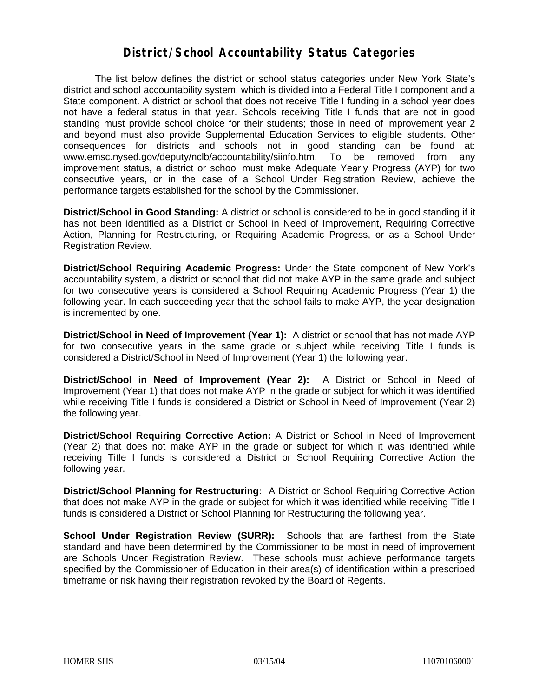### **District/School Accountability Status Categories**

The list below defines the district or school status categories under New York State's district and school accountability system, which is divided into a Federal Title I component and a State component. A district or school that does not receive Title I funding in a school year does not have a federal status in that year. Schools receiving Title I funds that are not in good standing must provide school choice for their students; those in need of improvement year 2 and beyond must also provide Supplemental Education Services to eligible students. Other consequences for districts and schools not in good standing can be found at: www.emsc.nysed.gov/deputy/nclb/accountability/siinfo.htm. To be removed from any improvement status, a district or school must make Adequate Yearly Progress (AYP) for two consecutive years, or in the case of a School Under Registration Review, achieve the performance targets established for the school by the Commissioner.

**District/School in Good Standing:** A district or school is considered to be in good standing if it has not been identified as a District or School in Need of Improvement, Requiring Corrective Action, Planning for Restructuring, or Requiring Academic Progress, or as a School Under Registration Review.

**District/School Requiring Academic Progress:** Under the State component of New York's accountability system, a district or school that did not make AYP in the same grade and subject for two consecutive years is considered a School Requiring Academic Progress (Year 1) the following year. In each succeeding year that the school fails to make AYP, the year designation is incremented by one.

**District/School in Need of Improvement (Year 1):** A district or school that has not made AYP for two consecutive years in the same grade or subject while receiving Title I funds is considered a District/School in Need of Improvement (Year 1) the following year.

**District/School in Need of Improvement (Year 2):** A District or School in Need of Improvement (Year 1) that does not make AYP in the grade or subject for which it was identified while receiving Title I funds is considered a District or School in Need of Improvement (Year 2) the following year.

**District/School Requiring Corrective Action:** A District or School in Need of Improvement (Year 2) that does not make AYP in the grade or subject for which it was identified while receiving Title I funds is considered a District or School Requiring Corrective Action the following year.

**District/School Planning for Restructuring:** A District or School Requiring Corrective Action that does not make AYP in the grade or subject for which it was identified while receiving Title I funds is considered a District or School Planning for Restructuring the following year.

**School Under Registration Review (SURR):** Schools that are farthest from the State standard and have been determined by the Commissioner to be most in need of improvement are Schools Under Registration Review. These schools must achieve performance targets specified by the Commissioner of Education in their area(s) of identification within a prescribed timeframe or risk having their registration revoked by the Board of Regents.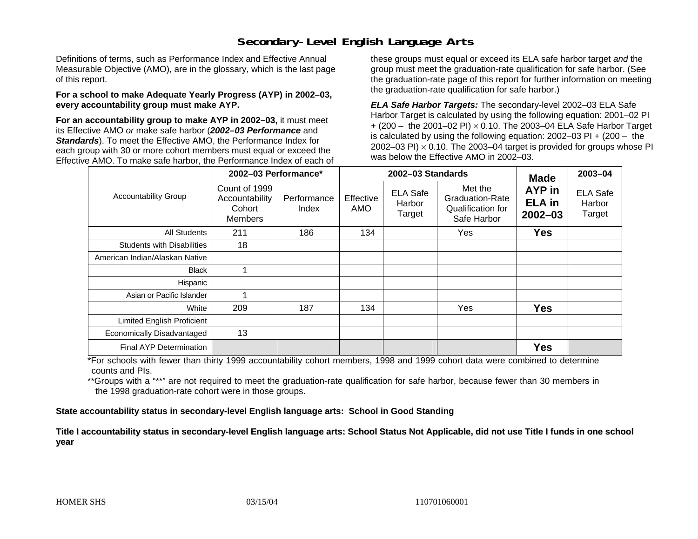### **Secondary-Level English Language Arts**

Definitions of terms, such as Performance Index and Effective Annual Measurable Objective (AMO), are in the glossary, which is the last page of this report.

#### **For a school to make Adequate Yearly Progress (AYP) in 2002–03, every accountability group must make AYP.**

**For an accountability group to make AYP in 2002–03,** it must meet its Effective AMO *or* make safe harbor (*2002–03 Performance* and *Standards*). To meet the Effective AMO, the Performance Index for each group with 30 or more cohort members must equal or exceed the Effective AMO. To make safe harbor, the Performance Index of each of these groups must equal or exceed its ELA safe harbor target *and* the group must meet the graduation-rate qualification for safe harbor. (See the graduation-rate page of this report for further information on meeting the graduation-rate qualification for safe harbor.)

*ELA Safe Harbor Targets:* The secondary-level 2002–03 ELA Safe Harbor Target is calculated by using the following equation: 2001–02 PI + (200 – the 2001–02 PI) <sup>×</sup> 0.10. The 2003–04 ELA Safe Harbor Target is calculated by using the following equation: 2002–03 PI + (200 – the 2002–03 PI)  $\times$  0.10. The 2003–04 target is provided for groups whose PI was below the Effective AMO in 2002–03.

| <b>Accountability Group</b>       | 2002-03 Performance*                                        |                      |                  | 2002-03 Standards                   | <b>Made</b>                                                           | 2003-04                                |                                     |
|-----------------------------------|-------------------------------------------------------------|----------------------|------------------|-------------------------------------|-----------------------------------------------------------------------|----------------------------------------|-------------------------------------|
|                                   | Count of 1999<br>Accountability<br>Cohort<br><b>Members</b> | Performance<br>Index | Effective<br>AMO | <b>ELA Safe</b><br>Harbor<br>Target | Met the<br><b>Graduation-Rate</b><br>Qualification for<br>Safe Harbor | AYP in<br><b>ELA in</b><br>$2002 - 03$ | <b>ELA Safe</b><br>Harbor<br>Target |
| All Students                      | 211                                                         | 186                  | 134              |                                     | Yes                                                                   | <b>Yes</b>                             |                                     |
| <b>Students with Disabilities</b> | 18                                                          |                      |                  |                                     |                                                                       |                                        |                                     |
| American Indian/Alaskan Native    |                                                             |                      |                  |                                     |                                                                       |                                        |                                     |
| <b>Black</b>                      |                                                             |                      |                  |                                     |                                                                       |                                        |                                     |
| Hispanic                          |                                                             |                      |                  |                                     |                                                                       |                                        |                                     |
| Asian or Pacific Islander         |                                                             |                      |                  |                                     |                                                                       |                                        |                                     |
| White                             | 209                                                         | 187                  | 134              |                                     | Yes                                                                   | <b>Yes</b>                             |                                     |
| <b>Limited English Proficient</b> |                                                             |                      |                  |                                     |                                                                       |                                        |                                     |
| Economically Disadvantaged        | 13                                                          |                      |                  |                                     |                                                                       |                                        |                                     |
| Final AYP Determination           |                                                             |                      |                  |                                     |                                                                       | <b>Yes</b>                             |                                     |

\*For schools with fewer than thirty 1999 accountability cohort members, 1998 and 1999 cohort data were combined to determine counts and PIs.

\*\*Groups with a "\*\*" are not required to meet the graduation-rate qualification for safe harbor, because fewer than 30 members in the 1998 graduation-rate cohort were in those groups.

**State accountability status in secondary-level English language arts: School in Good Standing** 

Title I accountability status in secondary-level English language arts: School Status Not Applicable, did not use Title I funds in one school **y ear**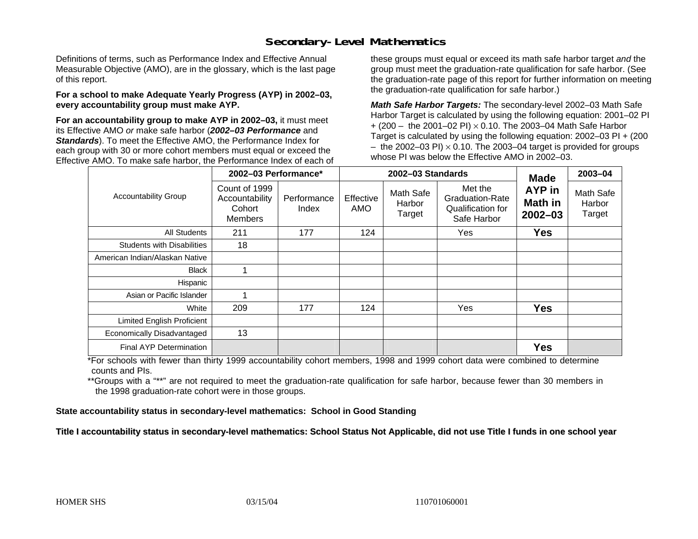### **Secondary-Level Mathematics**

Definitions of terms, such as Performance Index and Effective Annual Measurable Objective (AMO), are in the glossary, which is the last page of this report.

#### **For a school to make Adequate Yearly Progress (AYP) in 2002–03, every accountability group must make AYP.**

**For an accountability group to make AYP in 2002–03,** it must meet its Effective AMO *or* make safe harbor (*2002–03 Performance* and *Standards*). To meet the Effective AMO, the Performance Index for each group with 30 or more cohort members must equal or exceed the Effective AMO. To make safe harbor, the Performance Index of each of these groups must equal or exceed its math safe harbor target *and* the group must meet the graduation-rate qualification for safe harbor. (See the graduation-rate page of this report for further information on meeting the graduation-rate qualification for safe harbor.)

*Math Safe Harbor Targets:* The secondary-level 2002–03 Math Safe Harbor Target is calculated by using the following equation: 2001–02 PI + (200 – the 2001–02 PI) × 0.10. The 2003–04 Math Safe Harbor Target is calculated by using the following equation: 2002–03 PI + (200  $-$  the 2002–03 PI)  $\times$  0.10. The 2003–04 target is provided for groups whose PI was below the Effective AMO in 2002–03.

|                                   | 2002-03 Performance*                                        |                      |                         | 2002-03 Standards             | <b>Made</b>                                                    | 2003-04                          |                               |
|-----------------------------------|-------------------------------------------------------------|----------------------|-------------------------|-------------------------------|----------------------------------------------------------------|----------------------------------|-------------------------------|
| <b>Accountability Group</b>       | Count of 1999<br>Accountability<br>Cohort<br><b>Members</b> | Performance<br>Index | Effective<br><b>AMO</b> | Math Safe<br>Harbor<br>Target | Met the<br>Graduation-Rate<br>Qualification for<br>Safe Harbor | AYP in<br>Math in<br>$2002 - 03$ | Math Safe<br>Harbor<br>Target |
| All Students                      | 211                                                         | 177                  | 124                     |                               | Yes                                                            | <b>Yes</b>                       |                               |
| <b>Students with Disabilities</b> | 18                                                          |                      |                         |                               |                                                                |                                  |                               |
| American Indian/Alaskan Native    |                                                             |                      |                         |                               |                                                                |                                  |                               |
| <b>Black</b>                      |                                                             |                      |                         |                               |                                                                |                                  |                               |
| Hispanic                          |                                                             |                      |                         |                               |                                                                |                                  |                               |
| Asian or Pacific Islander         |                                                             |                      |                         |                               |                                                                |                                  |                               |
| White                             | 209                                                         | 177                  | 124                     |                               | Yes                                                            | <b>Yes</b>                       |                               |
| Limited English Proficient        |                                                             |                      |                         |                               |                                                                |                                  |                               |
| Economically Disadvantaged        | 13                                                          |                      |                         |                               |                                                                |                                  |                               |
| Final AYP Determination           |                                                             |                      |                         |                               |                                                                | <b>Yes</b>                       |                               |

\*For schools with fewer than thirty 1999 accountability cohort members, 1998 and 1999 cohort data were combined to determine counts and PIs.

\*\*Groups with a "\*\*" are not required to meet the graduation-rate qualification for safe harbor, because fewer than 30 members in the 1998 graduation-rate cohort were in those groups.

**State accountability status in secondary-level mathematics: School in Good Standing** 

Title I accountability status in secondary-level mathematics: School Status Not Applicable, did not use Title I funds in one school year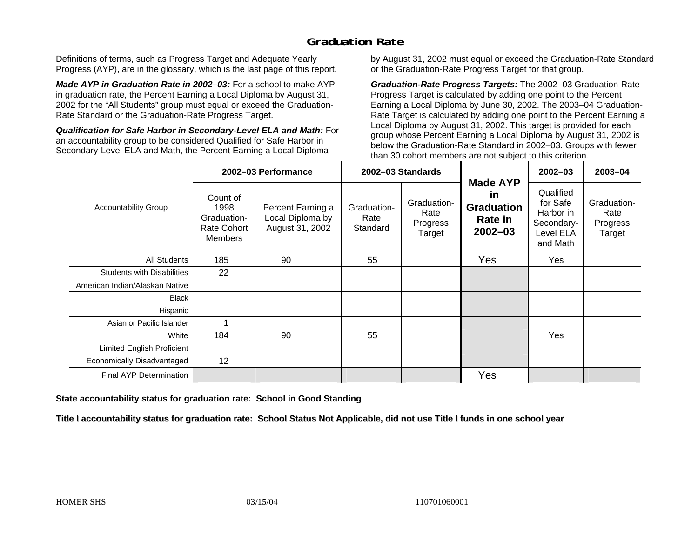## **Graduation Rate**

Definitions of terms, such as Progress Target and Adequate Yearly Progress (AYP), are in the glossary, which is the last page of this report.

*Made AYP in Graduation Rate in 2002–03:* For a school to make AYP in graduation rate, the Percent Earning a Local Diploma by August 31, 2002 for the "All Students" group must equal or exceed the Graduation-Rate Standard or the Graduation-Rate Progress Target.

*Qualification for Safe Harbor in Secondary-Level ELA and Math:* For an accountability group to be considered Qualified for Safe Harbor in Secondary-Level ELA and Math, the Percent Earning a Local Diploma

by August 31, 2002 must equal or exceed the Graduation-Rate Standard or the Graduation-Rate Progress Target for that group.

*Graduation-Rate Progress Targets:* The 2002–03 Graduation-Rate Progress Target is calculated by adding one point to the Percent Earning a Local Diploma by June 30, 2002. The 2003–04 Graduation-Rate Target is calculated by adding one point to the Percent Earning a Local Diploma by August 31, 2002. This target is provided for each group whose Percent Earning a Local Diploma by August 31, 2002 is below the Graduation-Rate Standard in 2002–03. Groups with fewer than 30 cohort members are not subject to this criterion.

| <b>Accountability Group</b>       | 2002-03 Performance                                                     |                                                          | 2002-03 Standards               |                                           |                                                                      | $2002 - 03$                                                               | 2003-04                                   |
|-----------------------------------|-------------------------------------------------------------------------|----------------------------------------------------------|---------------------------------|-------------------------------------------|----------------------------------------------------------------------|---------------------------------------------------------------------------|-------------------------------------------|
|                                   | Count of<br>1998<br>Graduation-<br><b>Rate Cohort</b><br><b>Members</b> | Percent Earning a<br>Local Diploma by<br>August 31, 2002 | Graduation-<br>Rate<br>Standard | Graduation-<br>Rate<br>Progress<br>Target | <b>Made AYP</b><br>in<br><b>Graduation</b><br>Rate in<br>$2002 - 03$ | Qualified<br>for Safe<br>Harbor in<br>Secondary-<br>Level ELA<br>and Math | Graduation-<br>Rate<br>Progress<br>Target |
| All Students                      | 185                                                                     | 90                                                       | 55                              |                                           | Yes                                                                  | Yes                                                                       |                                           |
| <b>Students with Disabilities</b> | 22                                                                      |                                                          |                                 |                                           |                                                                      |                                                                           |                                           |
| American Indian/Alaskan Native    |                                                                         |                                                          |                                 |                                           |                                                                      |                                                                           |                                           |
| <b>Black</b>                      |                                                                         |                                                          |                                 |                                           |                                                                      |                                                                           |                                           |
| Hispanic                          |                                                                         |                                                          |                                 |                                           |                                                                      |                                                                           |                                           |
| Asian or Pacific Islander         |                                                                         |                                                          |                                 |                                           |                                                                      |                                                                           |                                           |
| White                             | 184                                                                     | 90                                                       | 55                              |                                           |                                                                      | Yes                                                                       |                                           |
| Limited English Proficient        |                                                                         |                                                          |                                 |                                           |                                                                      |                                                                           |                                           |
| Economically Disadvantaged        | 12                                                                      |                                                          |                                 |                                           |                                                                      |                                                                           |                                           |
| <b>Final AYP Determination</b>    |                                                                         |                                                          |                                 |                                           | Yes                                                                  |                                                                           |                                           |

**State accountability status for graduation rate: School in Good Standing** 

Title I accountability status for graduation rate: School Status Not Applicable, did not use Title I funds in one school year